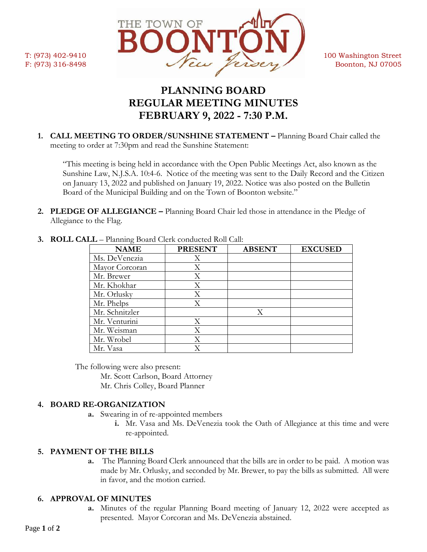

# **PLANNING BOARD REGULAR MEETING MINUTES FEBRUARY 9, 2022 - 7:30 P.M.**

**1. CALL MEETING TO ORDER/SUNSHINE STATEMENT –** Planning Board Chair called the meeting to order at 7:30pm and read the Sunshine Statement:

"This meeting is being held in accordance with the Open Public Meetings Act, also known as the Sunshine Law, N.J.S.A. 10:4-6. Notice of the meeting was sent to the Daily Record and the Citizen on January 13, 2022 and published on January 19, 2022. Notice was also posted on the Bulletin Board of the Municipal Building and on the Town of Boonton website."

**2. PLEDGE OF ALLEGIANCE –** Planning Board Chair led those in attendance in the Pledge of Allegiance to the Flag.

| <b>NAME</b>    | <b>PRESENT</b> | <b>ABSENT</b> | <b>EXCUSED</b> |
|----------------|----------------|---------------|----------------|
| Ms. DeVenezia  | Χ              |               |                |
| Mayor Corcoran | X              |               |                |
| Mr. Brewer     | Χ              |               |                |
| Mr. Khokhar    | Χ              |               |                |
| Mr. Orlusky    | Χ              |               |                |
| Mr. Phelps     | Χ              |               |                |
| Mr. Schnitzler |                | X             |                |
| Mr. Venturini  | X              |               |                |
| Mr. Weisman    | X              |               |                |
| Mr. Wrobel     | Χ              |               |                |
| Mr. Vasa       |                |               |                |

**3. ROLL CALL** – Planning Board Clerk conducted Roll Call:

The following were also present:

Mr. Scott Carlson, Board Attorney

Mr. Chris Colley, Board Planner

# **4. BOARD RE-ORGANIZATION**

- **a.** Swearing in of re-appointed members
	- **i.** Mr. Vasa and Ms. DeVenezia took the Oath of Allegiance at this time and were re-appointed.

# **5. PAYMENT OF THE BILLS**

**a.** The Planning Board Clerk announced that the bills are in order to be paid. A motion was made by Mr. Orlusky, and seconded by Mr. Brewer, to pay the bills as submitted. All were in favor, and the motion carried.

# **6. APPROVAL OF MINUTES**

**a.** Minutes of the regular Planning Board meeting of January 12, 2022 were accepted as presented. Mayor Corcoran and Ms. DeVenezia abstained.